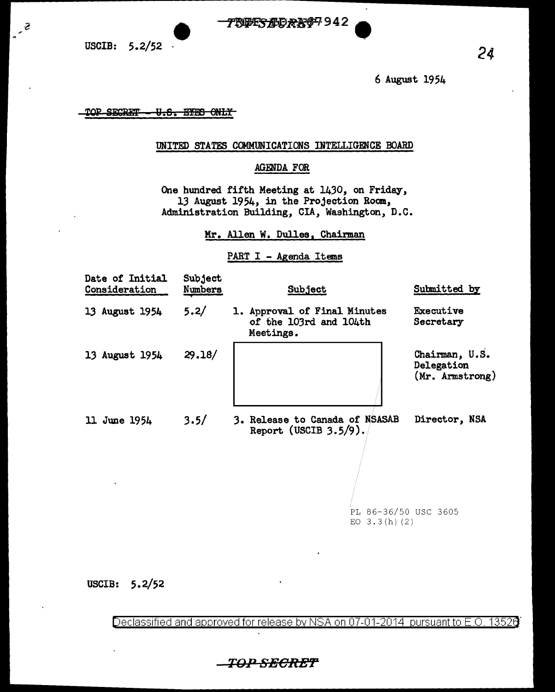**1999-1999-1999-1999-1-1000-24** • 24

 $\tilde{\mathcal{C}}$ 

6 August 1954

TOP SECRET <del>U.S. EYES ONLY</del>

# UNITED STATES COMMUNICATIONS INTELLIGENCE BOARD

# AGENDA FOR

One hundred fifth Meeting at 1430, on Friday, 13 August 1954, in the Projection Room, Administration Building, CIA, Washington, D.C.

Mr. Allen W. Dulles, Chairman

# PART I - Agenda Items

| Date of Initial<br>Consideration | Subject<br>Numbers | Subject                                                             | Submitted by                                    |
|----------------------------------|--------------------|---------------------------------------------------------------------|-------------------------------------------------|
| 13 August 1954                   | 5.2/               | 1. Approval of Final Minutes<br>of the 103rd and 104th<br>Meetings. | Executive<br>Secretary                          |
| 13 August 1954                   | 29.18/             |                                                                     | Chairman, U.S.<br>Delegation<br>(Mr. Armstrong) |
| 11 June 1954                     | 3.5/               | 3. Release to Canada of NSASAB<br>Report (USCIB $3.5/9$ ).          | Director, NSA                                   |

PL 86-36/50 USC 3605 EO  $3.3(h)$  (2)

USCIB: 5.2/52

Declassified and approved for release by NSA on 07-01-2014 pursuant to E.O. 1352ff

TOP SECRET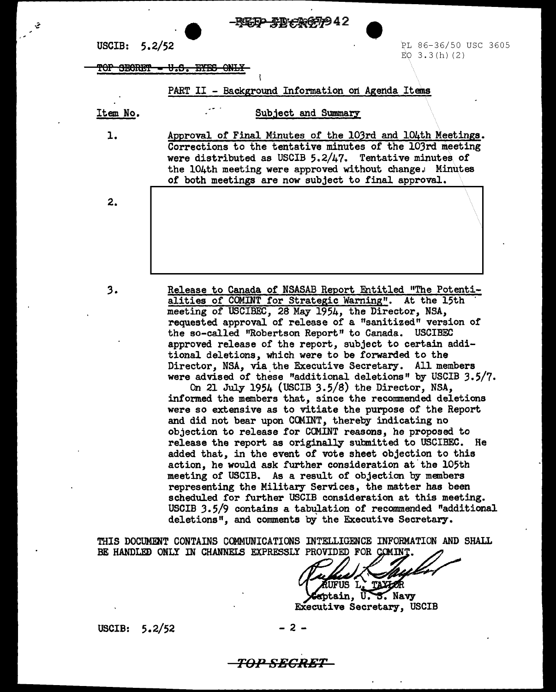EF<del>P T</del>B+30677942

USCIB: 5.2/52

PL 86-36/50 USC 3605  $EO$  3.3(h)(2)

TOP SECRET - U.S. EYES ONLY

PART II - Background Information on Agenda Items

Item No.

 $\mathbf{1}$ .

 $2.$ 

Subject and Summary

Approval of Final Minutes of the 103rd and 104th Meetings. Corrections to the tentative minutes of the 103rd meeting were distributed as USCIB  $5.2/\mu$ 7. Tentative minutes of the 104th meeting were approved without change. Minutes of both meetings are now subject to final approval.

 $3.$ 

Release to Canada of NSASAB Report Entitled "The Potentialities of COMINT for Strategic Warning". At the 15th meeting of USCIBEC, 28 May 1954, the Director, NSA, requested approval of release of a "sanitized" version of the so-called "Robertson Report" to Canada. USCIBEC approved release of the report, subject to certain additional deletions, which were to be forwarded to the Director, NSA, via the Executive Secretary. All members were advised of these "additional deletions" by USCIB 3.5/7.

On 21 July 1954 (USCIB 3.5/8) the Director, NSA, informed the members that, since the recommended deletions were so extensive as to vitiate the purpose of the Report and did not bear upon CCMINT, thereby indicating no objection to release for COMINT reasons, he proposed to release the report as originally submitted to USCIBEC. He added that, in the event of vote sheet objection to this action, he would ask further consideration at the 105th meeting of USCIB. As a result of objection by members representing the Military Services, the matter has been scheduled for further USCIB consideration at this meeting. USCIB 3.5/9 contains a tabulation of recommended "additional deletions", and comments by the Executive Secretary.

THIS DOCUMENT CONTAINS COMMUNICATIONS INTELLIGENCE INFORMATION AND SHALL BE HANDLED ONLY IN CHANNELS EXPRESSLY PROVIDED FOR COMINT

 $2 -$ 

FUS L, mptain, U.S. Navy

Executive Secretary, USCIB

USCIB:  $5.2/52$ 

TOP SECRET